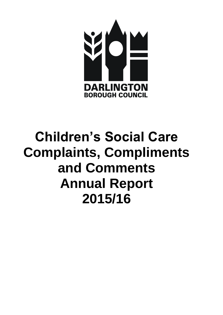

# **Children's Social Care Complaints, Compliments and Comments Annual Report 2015/16**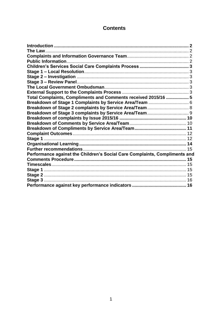# **Contents**

<span id="page-1-0"></span>

| Total Complaints, Compliments and Comments received 2015/16  5             |  |
|----------------------------------------------------------------------------|--|
| Breakdown of Stage 1 Complaints by Service Area/Team  6                    |  |
| Breakdown of Stage 2 complaints by Service Area/Team 8                     |  |
|                                                                            |  |
|                                                                            |  |
|                                                                            |  |
|                                                                            |  |
|                                                                            |  |
|                                                                            |  |
|                                                                            |  |
|                                                                            |  |
| Performance against the Children's Social Care Complaints, Compliments and |  |
|                                                                            |  |
|                                                                            |  |
|                                                                            |  |
|                                                                            |  |
|                                                                            |  |
|                                                                            |  |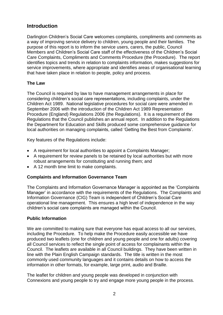## **Introduction**

Darlington Children's Social Care welcomes complaints, compliments and comments as a way of improving service delivery to children, young people and their families. The purpose of this report is to inform the service users, carers, the public, Council Members and Children's Social Care staff of the effectiveness of the Children's Social Care Complaints, Compliments and Comments Procedure (the Procedure). The report identifies topics and trends in relation to complaints information, makes suggestions for service improvements, where appropriate and identifies areas of organisational learning that have taken place in relation to people, policy and process.

## <span id="page-2-0"></span>**The Law**

The Council is required by law to have management arrangements in place for considering children's social care representations, including complaints, under the Children Act 1989. National legislative procedures for social care were amended in September 2006 with the introduction of the Children Act 1989 Representation Procedure (England) Regulations 2006 (the Regulations). It is a requirement of the Regulations that the Council publishes an annual report. In addition to the Regulations the Department for Education and Skills produced some comprehensive guidance for local authorities on managing complaints, called 'Getting the Best from Complaints'.

Key features of the Regulations include:

- A requirement for local authorities to appoint a Complaints Manager;
- A requirement for review panels to be retained by local authorities but with more robust arrangements for constituting and running them; and
- A 12 month time limit to make complaints.

## <span id="page-2-1"></span>**Complaints and Information Governance Team**

The Complaints and Information Governance Manager is appointed as the 'Complaints Manager' in accordance with the requirements of the Regulations. The Complaints and Information Governance (CIG) Team is independent of Children's Social Care operational line management. This ensures a high level of independence in the way children's social care complaints are managed within the Council.

## <span id="page-2-2"></span>**Public Information**

We are committed to making sure that everyone has equal access to all our services, including the Procedure. To help make the Procedure easily accessible we have produced two leaflets (one for children and young people and one for adults) covering all Council services to reflect the single point of access for complainants within the Council. The leaflets are available in all Council buildings. They have been written in line with the Plain English Campaign standards. The title is written in the most commonly used community languages and it contains details on how to access the information in other formats, for example, large print, audio and Braille.

The leaflet for children and young people was developed in conjunction with Connexions and young people to try and engage more young people in the process.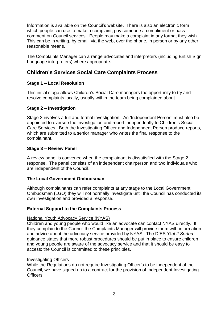Information is available on the Council's website. There is also an electronic form which people can use to make a complaint, pay someone a compliment or pass comment on Council services. People may make a complaint in any format they wish. This can be in writing, by email, via the web, over the phone, in person or by any other reasonable means.

The Complaints Manager can arrange advocates and interpreters (including British Sign Language interpreters) where appropriate.

## <span id="page-3-0"></span>**Children's Services Social Care Complaints Process**

## <span id="page-3-1"></span>**Stage 1 – Local Resolution**

This initial stage allows Children's Social Care managers the opportunity to try and resolve complaints locally, usually within the team being complained about.

## <span id="page-3-2"></span>**Stage 2 – Investigation**

Stage 2 involves a full and formal investigation. An 'Independent Person' must also be appointed to oversee the investigation and report independently to Children's Social Care Services. Both the Investigating Officer and Independent Person produce reports, which are submitted to a senior manager who writes the final response to the complainant.

## <span id="page-3-3"></span>**Stage 3 – Review Panel**

A review panel is convened when the complainant is dissatisfied with the Stage 2 response. The panel consists of an independent chairperson and two individuals who are independent of the Council.

## <span id="page-3-4"></span>**The Local Government Ombudsman**

Although complainants can refer complaints at any stage to the Local Government Ombudsman **(**LGO) they will not normally investigate until the Council has conducted its own investigation and provided a response.

## <span id="page-3-5"></span>**External Support to the Complaints Process**

## National Youth Advocacy Service (NYAS)

Children and young people who would like an advocate can contact NYAS directly. If they complain to the Council the Complaints Manager will provide them with information and advice about the advocacy service provided by NYAS. The DfES '*Get it Sorted'* guidance states that more robust procedures should be put in place to ensure children and young people are aware of the advocacy service and that it should be easy to access; the Council is committed to these principles.

## Investigating Officers

While the Regulations do not require Investigating Officer's to be independent of the Council, we have signed up to a contract for the provision of Independent Investigating **Officers**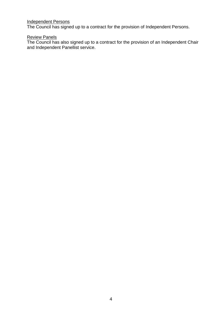#### Independent Persons

The Council has signed up to a contract for the provision of Independent Persons.

#### Review Panels

The Council has also signed up to a contract for the provision of an Independent Chair and Independent Panellist service.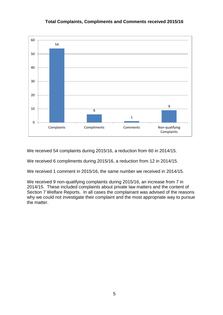## **Total Complaints, Compliments and Comments received 2015/16**



We received 54 complaints during 2015/16, a reduction from 60 in 2014/15.

We received 6 compliments during 2015/16, a reduction from 12 in 2014/15.

We received 1 comment in 2015/16, the same number we received in 2014/15.

We received 9 non-qualifying complaints during 2015/16, an increase from 7 in 2014/15. These included complaints about private law matters and the content of Section 7 Welfare Reports. In all cases the complainant was advised of the reasons why we could not investigate their complaint and the most appropriate way to pursue the matter.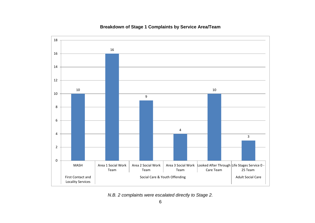<span id="page-6-0"></span>

## **Breakdown of Stage 1 Complaints by Service Area/Team**

*N.B. 2 complaints were escalated directly to Stage 2.*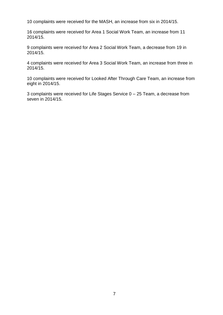10 complaints were received for the MASH, an increase from six in 2014/15.

16 complaints were received for Area 1 Social Work Team, an increase from 11 2014/15.

9 complaints were received for Area 2 Social Work Team, a decrease from 19 in 2014/15.

4 complaints were received for Area 3 Social Work Team, an increase from three in 2014/15.

10 complaints were received for Looked After Through Care Team, an increase from eight in 2014/15.

3 complaints were received for Life Stages Service 0 – 25 Team, a decrease from seven in 2014/15.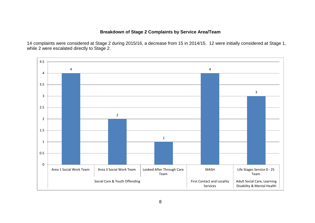## **Breakdown of Stage 2 Complaints by Service Area/Team**

14 complaints were considered at Stage 2 during 2015/16, a decrease from 15 in 2014/15. 12 were initially considered at Stage 1, while 2 were escalated directly to Stage 2.

<span id="page-8-0"></span>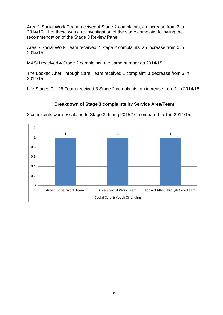Area 1 Social Work Team received 4 Stage 2 complaints, an increase from 2 in 2014/15. 1 of these was a re-investigation of the same complaint following the recommendation of the Stage 3 Review Panel.

Area 3 Social Work Team received 2 Stage 2 complaints, an increase from 0 in 2014/15.

MASH received 4 Stage 2 complaints, the same number as 2014/15.

The Looked After Through Care Team received 1 complaint, a decrease from 5 in 2014/15.

Life Stages 0 – 25 Team received 3 Stage 2 complaints, an increase from 1 in 2014/15.

## **Breakdown of Stage 3 complaints by Service Area/Team**

<span id="page-9-0"></span>3 complaints were escalated to Stage 3 during 2015/16, compared to 1 in 2014/15.

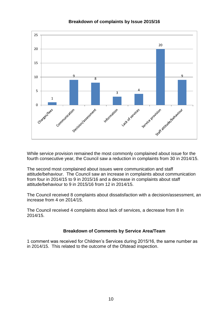<span id="page-10-0"></span>

## **Breakdown of complaints by Issue 2015/16**

While service provision remained the most commonly complained about issue for the fourth consecutive year, the Council saw a reduction in complaints from 30 in 2014/15.

The second most complained about issues were communication and staff attitude/behaviour. The Council saw an increase in complaints about communication from four in 2014/15 to 9 in 2015/16 and a decrease in complaints about staff attitude/behaviour to 9 in 2015/16 from 12 in 2014/15.

The Council received 8 complaints about dissatisfaction with a decision/assessment, an increase from 4 on 2014/15.

The Council received 4 complaints about lack of services, a decrease from 8 in 2014/15.

## **Breakdown of Comments by Service Area/Team**

<span id="page-10-2"></span><span id="page-10-1"></span>1 comment was received for Children's Services during 2015/16, the same number as in 2014/15. This related to the outcome of the Ofstead inspection.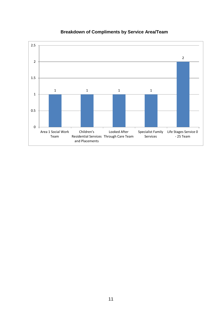

# **Breakdown of Compliments by Service Area/Team**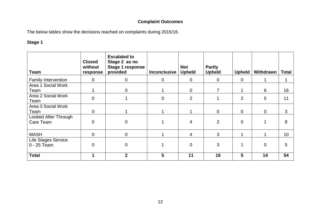# **Complaint Outcomes**

The below tables show the decisions reached on complaints during 2015/16.

## **Stage 1**

<span id="page-12-1"></span><span id="page-12-0"></span>

| <b>Team</b>                               | <b>Closed</b><br>without<br>response | <b>Escalated to</b><br>Stage 2 as no<br>Stage 1 response<br>provided | <b>Inconclusive</b> | <b>Not</b><br><b>Upheld</b> | <b>Partly</b><br><b>Upheld</b> | Upheld         | Withdrawn   | <b>Total</b> |
|-------------------------------------------|--------------------------------------|----------------------------------------------------------------------|---------------------|-----------------------------|--------------------------------|----------------|-------------|--------------|
| <b>Family Intervention</b>                | $\overline{0}$                       | $\mathbf 0$                                                          | $\mathbf 0$         | $\mathbf 0$                 | $\mathbf 0$                    | $\mathbf 0$    |             | 1            |
| Area 1 Social Work                        |                                      |                                                                      |                     |                             |                                |                |             |              |
| Team                                      | 1                                    | $\Omega$                                                             |                     | $\Omega$                    | 7                              |                | 6           | 16           |
| Area 2 Social Work<br>Team                | $\Omega$                             |                                                                      | $\overline{0}$      | $\overline{2}$              |                                | $\overline{2}$ | 5           | 11           |
| Area 3 Social Work<br>Team                | $\mathbf 0$                          |                                                                      |                     |                             | $\overline{0}$                 | $\mathbf 0$    | $\mathbf 0$ | 3            |
| Looked After Through<br>Care Team         | $\overline{0}$                       | 0                                                                    |                     | 4                           | $\overline{2}$                 | $\overline{0}$ |             | 8            |
| <b>MASH</b>                               | $\mathbf 0$                          | $\overline{0}$                                                       |                     | 4                           | 3                              |                |             | 10           |
| <b>Life Stages Service</b><br>0 - 25 Team | $\overline{0}$                       | 0                                                                    |                     | $\overline{0}$              | 3                              |                | $\Omega$    | 5            |
| <b>Total</b>                              | 1                                    | $\mathbf{2}$                                                         | 5                   | 11                          | 16                             | 5              | 14          | 54           |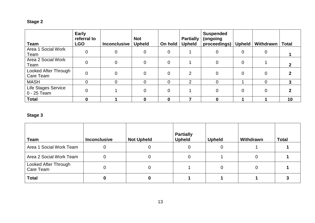# **Stage 2**

| <b>Team</b>                        | <b>Early</b><br>referral to<br><b>LGO</b> | <b>Inconclusive</b> | <b>Not</b><br><b>Upheld</b> | On hold        | <b>Partially</b><br><b>Upheld</b> | <b>Suspended</b><br>(ongoing<br>proceedings) | <b>Upheld</b>  | Withdrawn      | <b>Total</b> |
|------------------------------------|-------------------------------------------|---------------------|-----------------------------|----------------|-----------------------------------|----------------------------------------------|----------------|----------------|--------------|
| Area 1 Social Work<br>Team         | $\Omega$                                  | 0                   | $\mathbf 0$                 | $\overline{0}$ |                                   | 0                                            | 0              | 0              |              |
| Area 2 Social Work<br>Team         | $\overline{0}$                            | $\Omega$            | $\mathbf 0$                 | $\mathbf 0$    |                                   | $\overline{0}$                               | $\overline{0}$ |                |              |
| Looked After Through<br>Care Team  | $\overline{0}$                            | $\overline{0}$      | $\mathbf 0$                 | $\overline{0}$ | $\mathcal{P}$                     | $\mathbf 0$                                  | 0              | $\overline{0}$ |              |
| <b>MASH</b>                        | $\Omega$                                  | $\Omega$            | $\overline{0}$              | 0              | $\overline{2}$                    | $\overline{0}$                               |                | 0              | $\mathbf{3}$ |
| Life Stages Service<br>0 - 25 Team | $\Omega$                                  |                     | $\overline{0}$              | 0              |                                   | 0                                            |                | 0              |              |
| <b>Total</b>                       | 0                                         |                     | 0                           | 0              |                                   | 0                                            |                |                | 10           |

# **Stage 3**

| <b>Team</b>                       | <b>Inconclusive</b> | <b>Not Upheld</b> | <b>Partially</b><br><b>Upheld</b> | <b>Upheld</b> | Withdrawn | Total |
|-----------------------------------|---------------------|-------------------|-----------------------------------|---------------|-----------|-------|
| Area 1 Social Work Team           |                     |                   |                                   |               |           |       |
| Area 2 Social Work Team           | 0                   |                   | 0                                 |               | C         |       |
| Looked After Through<br>Care Team |                     |                   |                                   |               |           |       |
| <b>Total</b>                      |                     |                   |                                   |               |           |       |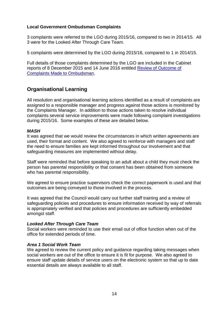## **Local Government Ombudsman Complaints**

3 complaints were referred to the LGO during 2015/16, compared to two in 2014/15. All 3 were for the Looked After Through Care Team.

5 complaints were determined by the LGO during 2015/16, compared to 1 in 2014/15.

Full details of those complaints determined by the LGO are included in the Cabinet reports of 8 December 2015 and 14 June 2016 entitled [Review of Outcome of](http://www.darlington.gov.uk/your-council/democracy/meetings-list/)  [Complaints Made to Ombudsman.](http://www.darlington.gov.uk/your-council/democracy/meetings-list/)

## <span id="page-14-0"></span>**Organisational Learning**

All resolution and organisational learning actions identified as a result of complaints are assigned to a responsible manager and progress against those actions is monitored by the Complaints Manager. In addition to those actions taken to resolve individual complaints several service improvements were made following complaint investigations during 2015/16. Some examples of these are detailed below.

## *MASH*

It was agreed that we would review the circumstances in which written agreements are used, their format and content. We also agreed to reinforce with managers and staff the need to ensure families are kept informed throughout our involvement and that safeguarding measures are implemented without delay.

Staff were reminded that before speaking to an adult about a child they must check the person has parental responsibility or that consent has been obtained from someone who has parental responsibility.

We agreed to ensure practice supervisors check the correct paperwork is used and that outcomes are being conveyed to those involved in the process.

It was agreed that the Council would carry out further staff training and a review of safeguarding policies and procedures to ensure information received by way of referrals is appropriately verified and that policies and procedures are sufficiently embedded amongst staff.

## *Looked After Through Care Team*

Social workers were reminded to use their email out of office function when out of the office for extended periods of time.

## *Area 1 Social Work Team*

We agreed to review the current policy and guidance regarding taking messages when social workers are out of the office to ensure it is fit for purpose. We also agreed to ensure staff update details of service users on the electronic system so that up to date essential details are always available to all staff.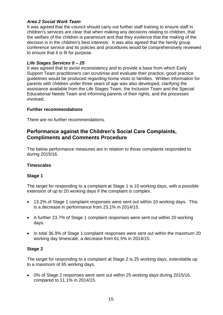## *Area 2 Social Work Team*

It was agreed that the council should carry out further staff training to ensure staff in children's services are clear that when making any decisions relating to children, that the welfare of the children is paramount and that they evidence that the making of the decision is in the children's best interests. It was also agreed that the family group conference service and its policies and procedures would be comprehensively reviewed to ensure that it is fit for purpose.

## *Life Stages Services 0 – 25*

It was agreed that to avoid inconsistency and to provide a base from which Early Support Team practitioners can scrutinise and evaluate their practice, good practice guidelines would be produced regarding home visits to families. Written information for parents with children under three years of age was also developed, clarifying the assistance available from the Life Stages Team, the Inclusion Team and the Special Educational Needs Team and informing parents of their rights, and the processes involved.

## <span id="page-15-0"></span>**Further recommendations**

There are no further recommendations.

## <span id="page-15-1"></span>**Performance against the Children's Social Care Complaints, Compliments and Comments Procedure**

The below performance measures are in relation to those complaints responded to during 2015/16.

## <span id="page-15-2"></span>**Timescales**

## <span id="page-15-3"></span>**Stage 1**

The target for responding to a complaint at Stage 1 is 10 working days, with a possible extension of up to 20 working days if the complaint is complex.

- 13.2% of Stage 1 complaint responses were sent out within 10 working days. This is a decrease in performance from 23.1% in 2014/15.
- A further 23.7% of Stage 1 complaint responses were sent out within 20 working days.
- In total 36.9% of Stage 1 complaint responses were sent out within the maximum 20 working day timescale, a decrease from 61.5% in 2014/15.

## <span id="page-15-4"></span>**Stage 2**

The target for responding to a complaint at Stage 2 is 25 working days, extendable up to a maximum of 65 working days.

 0% of Stage 2 responses were sent out within 25 working days during 2015/16, compared to 11.1% in 2014/15.